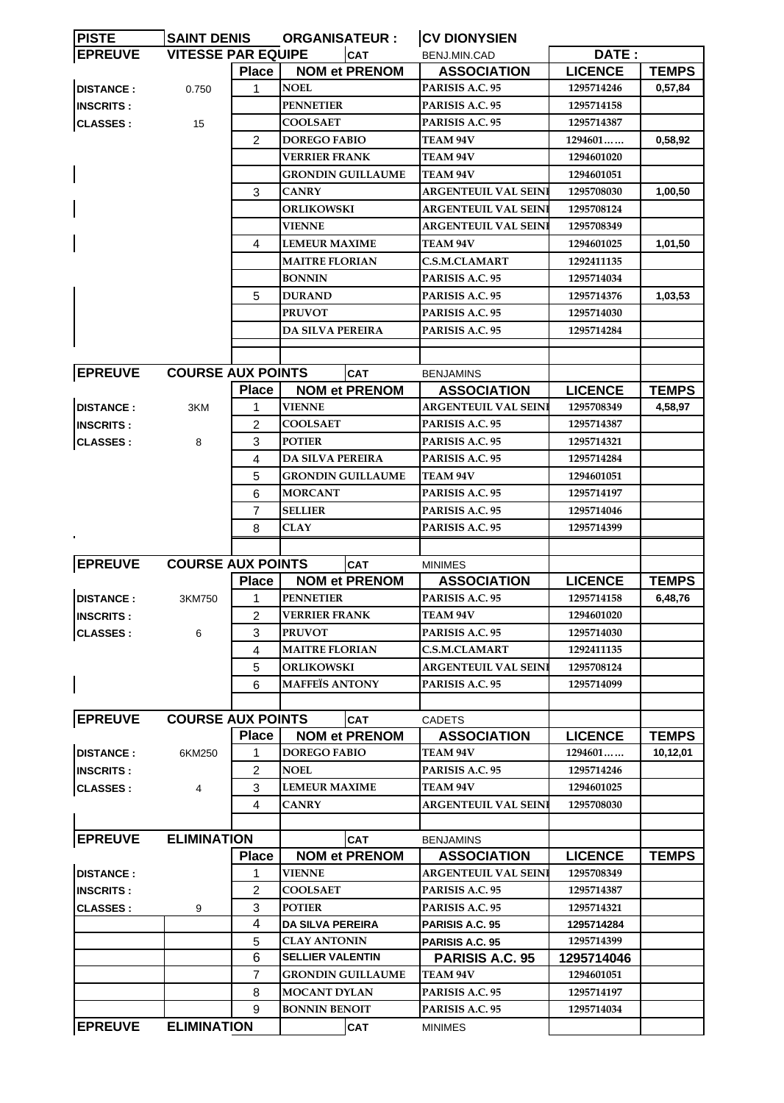| <b>PISTE</b>     | <b>SAINT DENIS</b>        |                | <b>ORGANISATEUR:</b>     | <b>CV DIONYSIEN</b>                 |                |              |
|------------------|---------------------------|----------------|--------------------------|-------------------------------------|----------------|--------------|
| <b>EPREUVE</b>   | <b>VITESSE PAR EQUIPE</b> |                | <b>CAT</b>               | BENJ.MIN.CAD                        | DATE:          |              |
|                  |                           | <b>Place</b>   | <b>NOM et PRENOM</b>     | <b>ASSOCIATION</b>                  | <b>LICENCE</b> | <b>TEMPS</b> |
| <b>DISTANCE:</b> | 0.750                     | 1              | <b>NOEL</b>              | PARISIS A.C. 95                     | 1295714246     | 0,57,84      |
| <b>INSCRITS:</b> |                           |                | <b>PENNETIER</b>         | PARISIS A.C. 95                     | 1295714158     |              |
| <b>CLASSES:</b>  | 15                        |                | <b>COOLSAET</b>          | PARISIS A.C. 95                     | 1295714387     |              |
|                  |                           | 2              | <b>DOREGO FABIO</b>      | <b>TEAM 94V</b>                     | 1294601        | 0,58,92      |
|                  |                           |                | <b>VERRIER FRANK</b>     | TEAM 94V                            | 1294601020     |              |
|                  |                           |                | <b>GRONDIN GUILLAUME</b> | <b>TEAM 94V</b>                     | 1294601051     |              |
|                  |                           | 3              | <b>CANRY</b>             | ARGENTEUIL VAL SEIN                 | 1295708030     | 1,00,50      |
|                  |                           |                | <b>ORLIKOWSKI</b>        | ARGENTEUIL VAL SEINI                | 1295708124     |              |
|                  |                           |                | <b>VIENNE</b>            | <b>ARGENTEUIL VAL SEIN</b>          | 1295708349     |              |
|                  |                           | 4              | <b>LEMEUR MAXIME</b>     | <b>TEAM 94V</b>                     | 1294601025     | 1,01,50      |
|                  |                           |                | <b>MAITRE FLORIAN</b>    | <b>C.S.M.CLAMART</b>                | 1292411135     |              |
|                  |                           |                | <b>BONNIN</b>            | PARISIS A.C. 95                     | 1295714034     |              |
|                  |                           | 5              | <b>DURAND</b>            | PARISIS A.C. 95                     | 1295714376     | 1,03,53      |
|                  |                           |                | <b>PRUVOT</b>            | PARISIS A.C. 95                     | 1295714030     |              |
|                  |                           |                | <b>DA SILVA PEREIRA</b>  | PARISIS A.C. 95                     | 1295714284     |              |
|                  |                           |                |                          |                                     |                |              |
|                  |                           |                |                          |                                     |                |              |
| <b>EPREUVE</b>   | <b>COURSE AUX POINTS</b>  |                | <b>CAT</b>               | <b>BENJAMINS</b>                    |                |              |
|                  |                           | <b>Place</b>   | <b>NOM et PRENOM</b>     | <b>ASSOCIATION</b>                  | <b>LICENCE</b> | <b>TEMPS</b> |
| <b>DISTANCE:</b> | 3KM                       | 1              | <b>VIENNE</b>            | ARGENTEUIL VAL SEIN                 | 1295708349     | 4,58,97      |
| <b>INSCRITS:</b> |                           | 2              | <b>COOLSAET</b>          | PARISIS A.C. 95                     | 1295714387     |              |
| <b>CLASSES:</b>  | 8                         | 3              | <b>POTIER</b>            | PARISIS A.C. 95                     | 1295714321     |              |
|                  |                           | 4              | <b>DA SILVA PEREIRA</b>  | PARISIS A.C. 95                     | 1295714284     |              |
|                  |                           | 5              | <b>GRONDIN GUILLAUME</b> | <b>TEAM 94V</b>                     | 1294601051     |              |
|                  |                           | 6              | <b>MORCANT</b>           | PARISIS A.C. 95                     | 1295714197     |              |
|                  |                           | 7              | <b>SELLIER</b>           | PARISIS A.C. 95                     | 1295714046     |              |
|                  |                           | 8              | CLAY                     | PARISIS A.C. 95                     | 1295714399     |              |
| $\blacksquare$   |                           |                |                          |                                     |                |              |
| <b>EPREUVE</b>   | <b>COURSE AUX POINTS</b>  |                | <b>CAT</b>               | <b>MINIMES</b>                      |                |              |
|                  |                           | <b>Place</b>   | <b>NOM et PRENOM</b>     | <b>ASSOCIATION</b>                  | <b>LICENCE</b> | <b>TEMPS</b> |
| <b>DISTANCE:</b> | 3KM750                    | 1              | <b>PENNETIER</b>         | PARISIS A.C. 95                     | 1295714158     | 6,48,76      |
| <b>INSCRITS:</b> |                           | 2              | <b>VERRIER FRANK</b>     | <b>TEAM 94V</b>                     | 1294601020     |              |
| <b>CLASSES:</b>  | 6                         | 3              | <b>PRUVOT</b>            | PARISIS A.C. 95                     | 1295714030     |              |
|                  |                           | 4              | <b>MAITRE FLORIAN</b>    | <b>C.S.M.CLAMART</b>                | 1292411135     |              |
|                  |                           | 5              | <b>ORLIKOWSKI</b>        | <b>ARGENTEUIL VAL SEIN</b>          | 1295708124     |              |
|                  |                           | 6              | <b>MAFFEÏS ANTONY</b>    | PARISIS A.C. 95                     | 1295714099     |              |
|                  |                           |                |                          |                                     |                |              |
| <b>EPREUVE</b>   | <b>COURSE AUX POINTS</b>  |                | CAT                      |                                     |                |              |
|                  |                           | <b>Place</b>   | <b>NOM et PRENOM</b>     | <b>CADETS</b><br><b>ASSOCIATION</b> | <b>LICENCE</b> | <b>TEMPS</b> |
| <b>DISTANCE:</b> | 6KM250                    | 1              | <b>DOREGO FABIO</b>      | <b>TEAM 94V</b>                     | 1294601        | 10,12,01     |
| <b>INSCRITS:</b> |                           | 2              | <b>NOEL</b>              | PARISIS A.C. 95                     | 1295714246     |              |
|                  |                           |                | <b>LEMEUR MAXIME</b>     |                                     |                |              |
| <b>CLASSES:</b>  | 4                         | 3              |                          | <b>TEAM 94V</b>                     | 1294601025     |              |
|                  |                           | 4              | <b>CANRY</b>             | ARGENTEUIL VAL SEINI                | 1295708030     |              |
|                  |                           |                |                          |                                     |                |              |
| <b>EPREUVE</b>   | <b>ELIMINATION</b>        |                | <b>CAT</b>               | <b>BENJAMINS</b>                    |                |              |
|                  |                           | <b>Place</b>   | <b>NOM et PRENOM</b>     | <b>ASSOCIATION</b>                  | <b>LICENCE</b> | <b>TEMPS</b> |
| <b>DISTANCE:</b> |                           | 1              | <b>VIENNE</b>            | ARGENTEUIL VAL SEIN                 | 1295708349     |              |
| <b>INSCRITS:</b> |                           | 2              | <b>COOLSAET</b>          | PARISIS A.C. 95                     | 1295714387     |              |
| <b>CLASSES:</b>  | 9                         | 3              | <b>POTIER</b>            | PARISIS A.C. 95                     | 1295714321     |              |
|                  |                           | 4              | <b>DA SILVA PEREIRA</b>  | <b>PARISIS A.C. 95</b>              | 1295714284     |              |
|                  |                           | 5              | <b>CLAY ANTONIN</b>      | PARISIS A.C. 95                     | 1295714399     |              |
|                  |                           | 6              | <b>SELLIER VALENTIN</b>  | <b>PARISIS A.C. 95</b>              | 1295714046     |              |
|                  |                           | $\overline{7}$ | <b>GRONDIN GUILLAUME</b> | <b>TEAM 94V</b>                     | 1294601051     |              |
|                  |                           | 8              | <b>MOCANT DYLAN</b>      | PARISIS A.C. 95                     | 1295714197     |              |
|                  |                           | 9              | <b>BONNIN BENOIT</b>     | PARISIS A.C. 95                     | 1295714034     |              |
| <b>EPREUVE</b>   | <b>ELIMINATION</b>        |                | <b>CAT</b>               | <b>MINIMES</b>                      |                |              |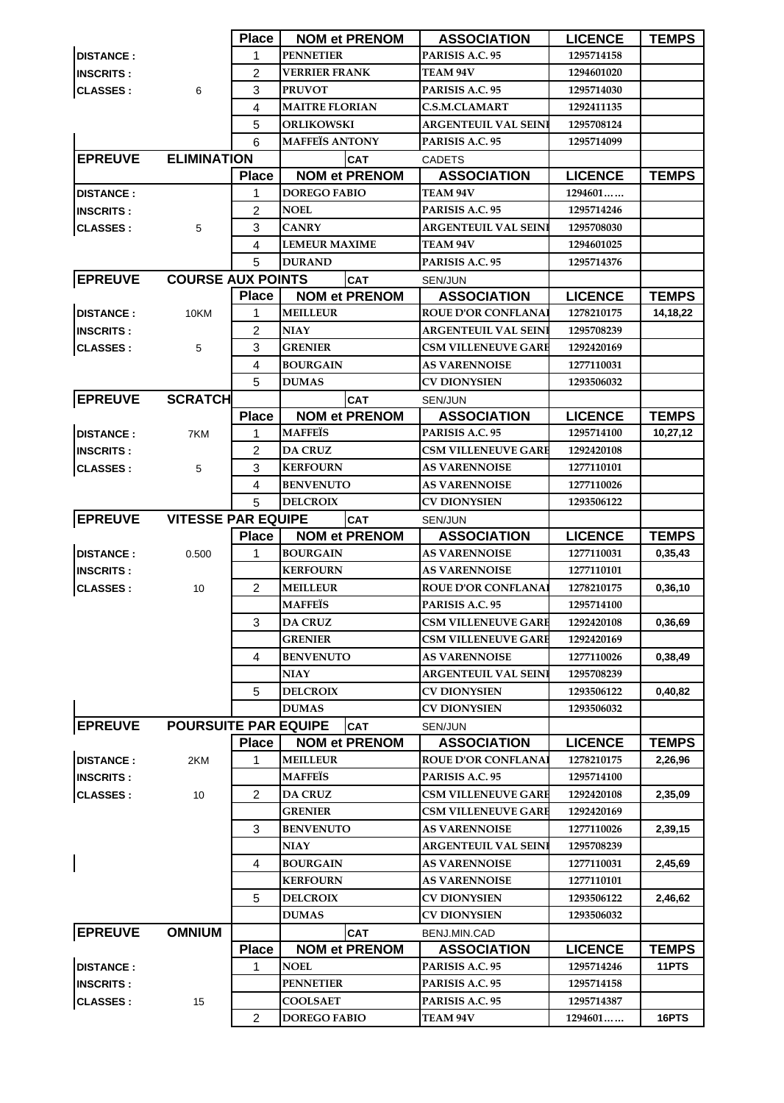|                  |                             | <b>Place</b> | <b>NOM et PRENOM</b>                   | <b>ASSOCIATION</b>                 | <b>LICENCE</b>        | <b>TEMPS</b> |
|------------------|-----------------------------|--------------|----------------------------------------|------------------------------------|-----------------------|--------------|
| <b>DISTANCE:</b> |                             | 1            | <b>PENNETIER</b>                       | PARISIS A.C. 95                    | 1295714158            |              |
| <b>INSCRITS:</b> |                             | 2            | <b>VERRIER FRANK</b>                   | <b>TEAM 94V</b>                    | 1294601020            |              |
| <b>CLASSES:</b>  | 6                           | 3            | <b>PRUVOT</b>                          | PARISIS A.C. 95                    | 1295714030            |              |
|                  |                             | 4            | <b>MAITRE FLORIAN</b>                  | <b>C.S.M.CLAMART</b>               | 1292411135            |              |
|                  |                             | 5            | <b>ORLIKOWSKI</b>                      | <b>ARGENTEUIL VAL SEINI</b>        | 1295708124            |              |
|                  |                             | 6            | <b>MAFFEÏS ANTONY</b>                  | PARISIS A.C. 95                    | 1295714099            |              |
| <b>EPREUVE</b>   | <b>ELIMINATION</b>          |              | <b>CAT</b>                             | <b>CADETS</b>                      |                       |              |
|                  |                             | <b>Place</b> | <b>NOM et PRENOM</b>                   | <b>ASSOCIATION</b>                 | <b>LICENCE</b>        | <b>TEMPS</b> |
| <b>DISTANCE:</b> |                             |              | <b>DOREGO FABIO</b>                    | <b>TEAM 94V</b>                    | 1294601               |              |
| <b>INSCRITS:</b> |                             | 2            | <b>NOEL</b>                            | PARISIS A.C. 95                    | 1295714246            |              |
| <b>CLASSES:</b>  | 5                           | 3            | <b>CANRY</b>                           | <b>ARGENTEUIL VAL SEINI</b>        | 1295708030            |              |
|                  |                             | 4            | <b>LEMEUR MAXIME</b>                   | TEAM 94V                           | 1294601025            |              |
|                  |                             | 5            | <b>DURAND</b>                          | PARISIS A.C. 95                    | 1295714376            |              |
| <b>EPREUVE</b>   | <b>COURSE AUX POINTS</b>    |              | <b>CAT</b>                             | SEN/JUN                            |                       |              |
|                  |                             | <b>Place</b> | <b>NOM et PRENOM</b>                   | <b>ASSOCIATION</b>                 | <b>LICENCE</b>        | <b>TEMPS</b> |
| <b>DISTANCE:</b> | 10KM                        | 1            | <b>MEILLEUR</b>                        | <b>ROUE D'OR CONFLANAI</b>         | 1278210175            | 14,18,22     |
| <b>INSCRITS:</b> |                             | 2            | <b>NIAY</b>                            | <b>ARGENTEUIL VAL SEINI</b>        | 1295708239            |              |
| <b>CLASSES:</b>  | 5                           | 3            | <b>GRENIER</b>                         | <b>CSM VILLENEUVE GARE</b>         | 1292420169            |              |
|                  |                             | 4            | <b>BOURGAIN</b>                        | <b>AS VARENNOISE</b>               | 1277110031            |              |
|                  |                             | 5            | <b>DUMAS</b>                           | <b>CV DIONYSIEN</b>                | 1293506032            |              |
| <b>EPREUVE</b>   | <b>SCRATCH</b>              |              | <b>CAT</b>                             | <b>SEN/JUN</b>                     |                       |              |
|                  |                             | <b>Place</b> | <b>NOM et PRENOM</b>                   | <b>ASSOCIATION</b>                 | <b>LICENCE</b>        | <b>TEMPS</b> |
| <b>DISTANCE:</b> | 7KM                         | 1            | <b>MAFFEIS</b>                         | PARISIS A.C. 95                    | 1295714100            | 10,27,12     |
| <b>INSCRITS:</b> |                             | 2            | <b>DA CRUZ</b>                         | <b>CSM VILLENEUVE GARE</b>         | 1292420108            |              |
| <b>CLASSES:</b>  | 5                           | 3            | <b>KERFOURN</b>                        | <b>AS VARENNOISE</b>               | 1277110101            |              |
|                  |                             | 4            | <b>BENVENUTO</b>                       | <b>AS VARENNOISE</b>               | 1277110026            |              |
|                  |                             | 5            | <b>DELCROIX</b>                        | <b>CV DIONYSIEN</b>                | 1293506122            |              |
| <b>EPREUVE</b>   | <b>VITESSE PAR EQUIPE</b>   |              | CAT                                    | SEN/JUN                            |                       |              |
|                  |                             | <b>Place</b> | <b>NOM et PRENOM</b>                   | <b>ASSOCIATION</b>                 | <b>LICENCE</b>        | <b>TEMPS</b> |
| <b>DISTANCE:</b> | 0.500                       | 1            | <b>BOURGAIN</b>                        | <b>AS VARENNOISE</b>               | 1277110031            | 0,35,43      |
| <b>INSCRITS:</b> |                             |              | <b>KERFOURN</b>                        | <b>AS VARENNOISE</b>               | 1277110101            |              |
| <b>CLASSES:</b>  | 10                          | 2            | <b>MEILLEUR</b>                        | <b>ROUE D'OR CONFLANAI</b>         | 1278210175            | 0,36,10      |
|                  |                             |              | <b>MAFFEÏS</b>                         | PARISIS A.C. 95                    | 1295714100            |              |
|                  |                             | 3            | <b>DA CRUZ</b>                         | <b>CSM VILLENEUVE GARE</b>         | 1292420108            | 0,36,69      |
|                  |                             |              | <b>GRENIER</b>                         |                                    |                       |              |
|                  |                             |              |                                        | <b>CSM VILLENEUVE GARE</b>         | 1292420169            |              |
|                  |                             | 4            | <b>BENVENUTO</b>                       | <b>AS VARENNOISE</b>               | 1277110026            | 0,38,49      |
|                  |                             |              | <b>NIAY</b>                            | <b>ARGENTEUIL VAL SEINI</b>        | 1295708239            |              |
|                  |                             | 5            | <b>DELCROIX</b>                        | <b>CV DIONYSIEN</b>                | 1293506122            | 0,40,82      |
|                  |                             |              | <b>DUMAS</b>                           | <b>CV DIONYSIEN</b>                | 1293506032            |              |
| <b>EPREUVE</b>   | <b>POURSUITE PAR EQUIPE</b> |              | <b>CAT</b>                             | SEN/JUN                            |                       |              |
|                  |                             | <b>Place</b> | <b>NOM et PRENOM</b>                   | <b>ASSOCIATION</b>                 | <b>LICENCE</b>        | <b>TEMPS</b> |
| <b>DISTANCE:</b> | 2KM                         | 1            | <b>MEILLEUR</b>                        | <b>ROUE D'OR CONFLANA</b>          | 1278210175            | 2,26,96      |
| <b>INSCRITS:</b> |                             |              | <b>MAFFEÏS</b>                         | PARISIS A.C. 95                    | 1295714100            |              |
| <b>CLASSES:</b>  | 10                          | 2            | <b>DA CRUZ</b>                         | <b>CSM VILLENEUVE GARE</b>         | 1292420108            | 2,35,09      |
|                  |                             |              | <b>GRENIER</b>                         | <b>CSM VILLENEUVE GARE</b>         | 1292420169            |              |
|                  |                             | 3            | <b>BENVENUTO</b>                       | <b>AS VARENNOISE</b>               | 1277110026            | 2,39,15      |
|                  |                             |              | <b>NIAY</b>                            | ARGENTEUIL VAL SEINI               | 1295708239            |              |
|                  |                             | 4            | <b>BOURGAIN</b>                        | <b>AS VARENNOISE</b>               | 1277110031            | 2,45,69      |
|                  |                             |              | <b>KERFOURN</b>                        | <b>AS VARENNOISE</b>               | 1277110101            |              |
|                  |                             | 5            | <b>DELCROIX</b>                        | <b>CV DIONYSIEN</b>                | 1293506122            | 2,46,62      |
|                  |                             |              | <b>DUMAS</b>                           | CV DIONYSIEN                       | 1293506032            |              |
| <b>EPREUVE</b>   | <b>OMNIUM</b>               |              | <b>CAT</b>                             | BENJ.MIN.CAD                       |                       |              |
|                  |                             | <b>Place</b> | <b>NOM et PRENOM</b>                   | <b>ASSOCIATION</b>                 | <b>LICENCE</b>        | <b>TEMPS</b> |
| <b>DISTANCE:</b> |                             | 1            | <b>NOEL</b>                            | <b>PARISIS A.C. 95</b>             | 1295714246            | 11PTS        |
| <b>INSCRITS:</b> |                             |              | <b>PENNETIER</b>                       | PARISIS A.C. 95                    | 1295714158            |              |
| <b>CLASSES:</b>  | 15                          | 2            | <b>COOLSAET</b><br><b>DOREGO FABIO</b> | PARISIS A.C. 95<br><b>TEAM 94V</b> | 1295714387<br>1294601 | 16PTS        |